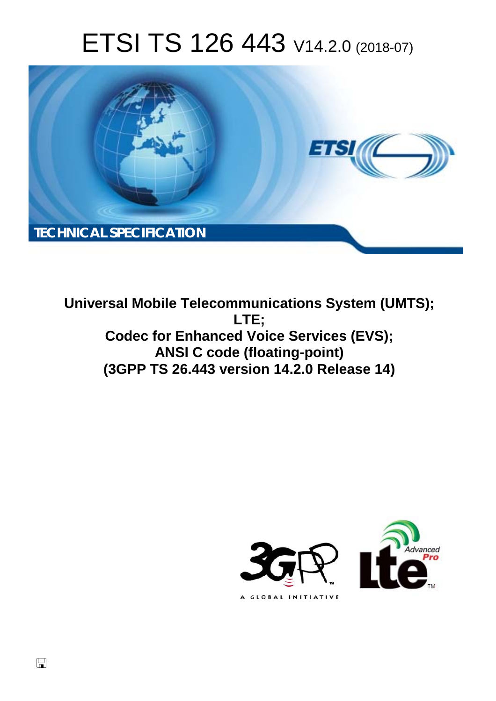# ETSI TS 126 443 V14.2.0 (2018-07)



**Universal Mobile Telecommunications System (UMTS); LTE; Codec for Enhanced Voice Services (EVS); ANSI C code (floating-point) (3GPP TS 26.443 version 14.2.0 Release 14)** 



 $\Box$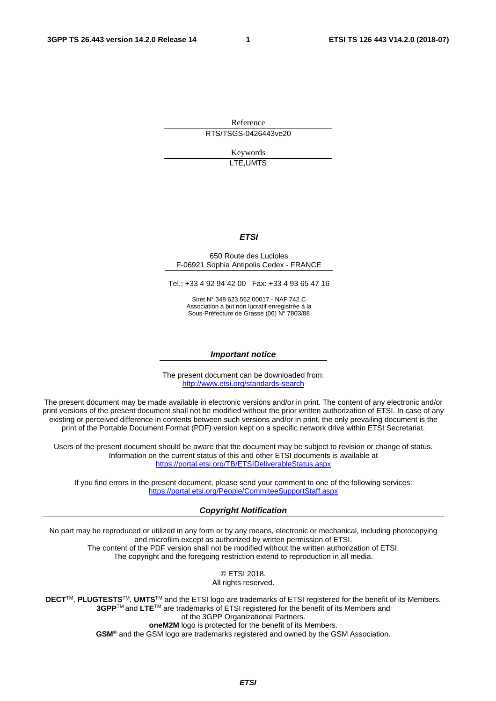Reference RTS/TSGS-0426443ve20

> Keywords LTE,UMTS

#### *ETSI*

#### 650 Route des Lucioles F-06921 Sophia Antipolis Cedex - FRANCE

Tel.: +33 4 92 94 42 00 Fax: +33 4 93 65 47 16

Siret N° 348 623 562 00017 - NAF 742 C Association à but non lucratif enregistrée à la Sous-Préfecture de Grasse (06) N° 7803/88

#### *Important notice*

The present document can be downloaded from: <http://www.etsi.org/standards-search>

The present document may be made available in electronic versions and/or in print. The content of any electronic and/or print versions of the present document shall not be modified without the prior written authorization of ETSI. In case of any existing or perceived difference in contents between such versions and/or in print, the only prevailing document is the print of the Portable Document Format (PDF) version kept on a specific network drive within ETSI Secretariat.

Users of the present document should be aware that the document may be subject to revision or change of status. Information on the current status of this and other ETSI documents is available at <https://portal.etsi.org/TB/ETSIDeliverableStatus.aspx>

If you find errors in the present document, please send your comment to one of the following services: <https://portal.etsi.org/People/CommiteeSupportStaff.aspx>

#### *Copyright Notification*

No part may be reproduced or utilized in any form or by any means, electronic or mechanical, including photocopying and microfilm except as authorized by written permission of ETSI. The content of the PDF version shall not be modified without the written authorization of ETSI. The copyright and the foregoing restriction extend to reproduction in all media.

> © ETSI 2018. All rights reserved.

**DECT**TM, **PLUGTESTS**TM, **UMTS**TM and the ETSI logo are trademarks of ETSI registered for the benefit of its Members. **3GPP**TM and **LTE**TM are trademarks of ETSI registered for the benefit of its Members and of the 3GPP Organizational Partners. **oneM2M** logo is protected for the benefit of its Members.

**GSM**® and the GSM logo are trademarks registered and owned by the GSM Association.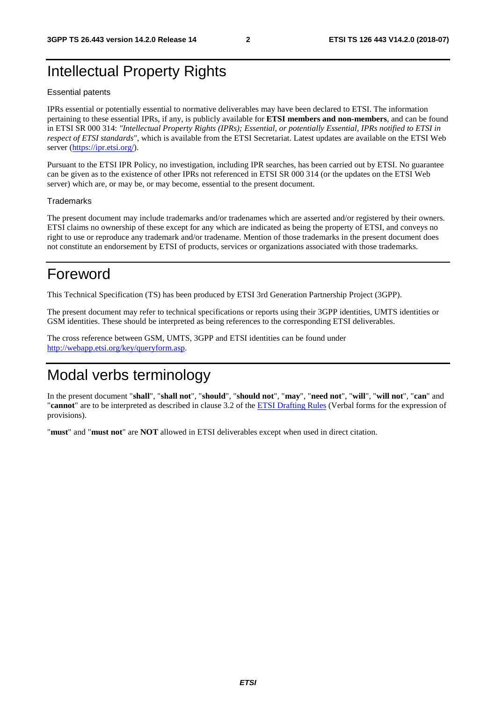# Intellectual Property Rights

#### Essential patents

IPRs essential or potentially essential to normative deliverables may have been declared to ETSI. The information pertaining to these essential IPRs, if any, is publicly available for **ETSI members and non-members**, and can be found in ETSI SR 000 314: *"Intellectual Property Rights (IPRs); Essential, or potentially Essential, IPRs notified to ETSI in respect of ETSI standards"*, which is available from the ETSI Secretariat. Latest updates are available on the ETSI Web server ([https://ipr.etsi.org/\)](https://ipr.etsi.org/).

Pursuant to the ETSI IPR Policy, no investigation, including IPR searches, has been carried out by ETSI. No guarantee can be given as to the existence of other IPRs not referenced in ETSI SR 000 314 (or the updates on the ETSI Web server) which are, or may be, or may become, essential to the present document.

#### **Trademarks**

The present document may include trademarks and/or tradenames which are asserted and/or registered by their owners. ETSI claims no ownership of these except for any which are indicated as being the property of ETSI, and conveys no right to use or reproduce any trademark and/or tradename. Mention of those trademarks in the present document does not constitute an endorsement by ETSI of products, services or organizations associated with those trademarks.

# Foreword

This Technical Specification (TS) has been produced by ETSI 3rd Generation Partnership Project (3GPP).

The present document may refer to technical specifications or reports using their 3GPP identities, UMTS identities or GSM identities. These should be interpreted as being references to the corresponding ETSI deliverables.

The cross reference between GSM, UMTS, 3GPP and ETSI identities can be found under [http://webapp.etsi.org/key/queryform.asp.](http://webapp.etsi.org/key/queryform.asp)

# Modal verbs terminology

In the present document "**shall**", "**shall not**", "**should**", "**should not**", "**may**", "**need not**", "**will**", "**will not**", "**can**" and "**cannot**" are to be interpreted as described in clause 3.2 of the [ETSI Drafting Rules](https://portal.etsi.org/Services/editHelp!/Howtostart/ETSIDraftingRules.aspx) (Verbal forms for the expression of provisions).

"**must**" and "**must not**" are **NOT** allowed in ETSI deliverables except when used in direct citation.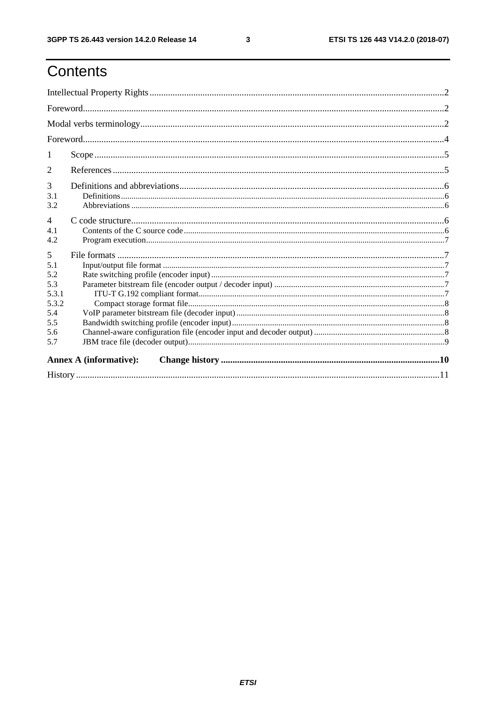# Contents

| $\mathcal{D}_{\cdot}$ |                               |  |  |  |  |  |  |  |  |
|-----------------------|-------------------------------|--|--|--|--|--|--|--|--|
| 3                     |                               |  |  |  |  |  |  |  |  |
| 3.1                   |                               |  |  |  |  |  |  |  |  |
| 3.2                   |                               |  |  |  |  |  |  |  |  |
| $\overline{4}$<br>4.1 |                               |  |  |  |  |  |  |  |  |
| 4.2                   |                               |  |  |  |  |  |  |  |  |
| 5                     |                               |  |  |  |  |  |  |  |  |
| 5.1                   |                               |  |  |  |  |  |  |  |  |
| 5.2                   |                               |  |  |  |  |  |  |  |  |
| 5.3                   |                               |  |  |  |  |  |  |  |  |
| 5.3.1                 |                               |  |  |  |  |  |  |  |  |
| 5.3.2                 |                               |  |  |  |  |  |  |  |  |
| 5.4                   |                               |  |  |  |  |  |  |  |  |
| 5.5                   |                               |  |  |  |  |  |  |  |  |
| 5.6                   |                               |  |  |  |  |  |  |  |  |
| 5.7                   |                               |  |  |  |  |  |  |  |  |
|                       | <b>Annex A (informative):</b> |  |  |  |  |  |  |  |  |
|                       |                               |  |  |  |  |  |  |  |  |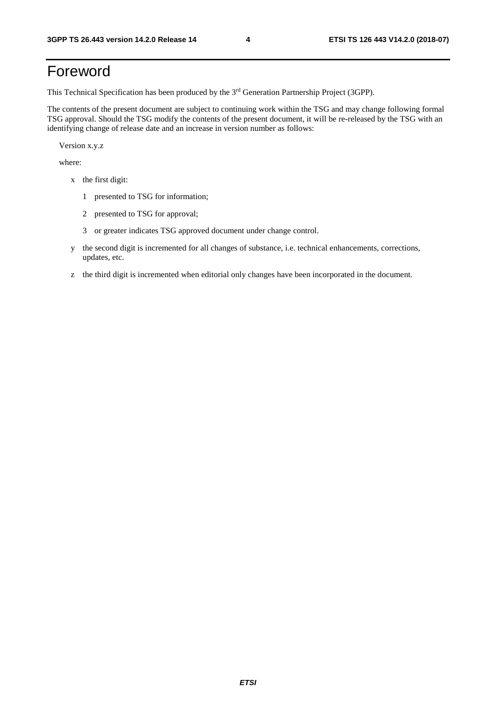# Foreword

This Technical Specification has been produced by the 3rd Generation Partnership Project (3GPP).

The contents of the present document are subject to continuing work within the TSG and may change following formal TSG approval. Should the TSG modify the contents of the present document, it will be re-released by the TSG with an identifying change of release date and an increase in version number as follows:

Version x.y.z

where:

- x the first digit:
	- 1 presented to TSG for information;
	- 2 presented to TSG for approval;
	- 3 or greater indicates TSG approved document under change control.
- y the second digit is incremented for all changes of substance, i.e. technical enhancements, corrections, updates, etc.
- z the third digit is incremented when editorial only changes have been incorporated in the document.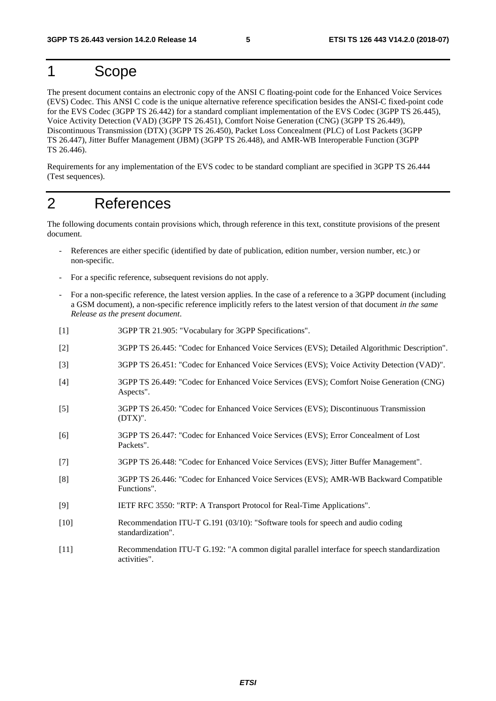# 1 Scope

The present document contains an electronic copy of the ANSI C floating-point code for the Enhanced Voice Services (EVS) Codec. This ANSI C code is the unique alternative reference specification besides the ANSI-C fixed-point code for the EVS Codec (3GPP TS 26.442) for a standard compliant implementation of the EVS Codec (3GPP TS 26.445), Voice Activity Detection (VAD) (3GPP TS 26.451), Comfort Noise Generation (CNG) (3GPP TS 26.449), Discontinuous Transmission (DTX) (3GPP TS 26.450), Packet Loss Concealment (PLC) of Lost Packets (3GPP TS 26.447), Jitter Buffer Management (JBM) (3GPP TS 26.448), and AMR-WB Interoperable Function (3GPP TS 26.446).

Requirements for any implementation of the EVS codec to be standard compliant are specified in 3GPP TS 26.444 (Test sequences).

# 2 References

The following documents contain provisions which, through reference in this text, constitute provisions of the present document.

- References are either specific (identified by date of publication, edition number, version number, etc.) or non-specific.
- For a specific reference, subsequent revisions do not apply.
- For a non-specific reference, the latest version applies. In the case of a reference to a 3GPP document (including a GSM document), a non-specific reference implicitly refers to the latest version of that document *in the same Release as the present document*.
- [1] 3GPP TR 21.905: "Vocabulary for 3GPP Specifications".
- [2] 3GPP TS 26.445: "Codec for Enhanced Voice Services (EVS); Detailed Algorithmic Description".
- [3] 3GPP TS 26.451: "Codec for Enhanced Voice Services (EVS); Voice Activity Detection (VAD)".
- [4] 3GPP TS 26.449: "Codec for Enhanced Voice Services (EVS); Comfort Noise Generation (CNG) Aspects".
- [5] 3GPP TS 26.450: "Codec for Enhanced Voice Services (EVS); Discontinuous Transmission (DTX)".
- [6] 3GPP TS 26.447: "Codec for Enhanced Voice Services (EVS); Error Concealment of Lost Packets".
- [7] 3GPP TS 26.448: "Codec for Enhanced Voice Services (EVS); Jitter Buffer Management".
- [8] 3GPP TS 26.446: "Codec for Enhanced Voice Services (EVS); AMR-WB Backward Compatible Functions".
- [9] IETF RFC 3550: "RTP: A Transport Protocol for Real-Time Applications".
- [10] Recommendation ITU-T G.191 (03/10): "Software tools for speech and audio coding standardization".
- [11] Recommendation ITU-T G.192: "A common digital parallel interface for speech standardization activities".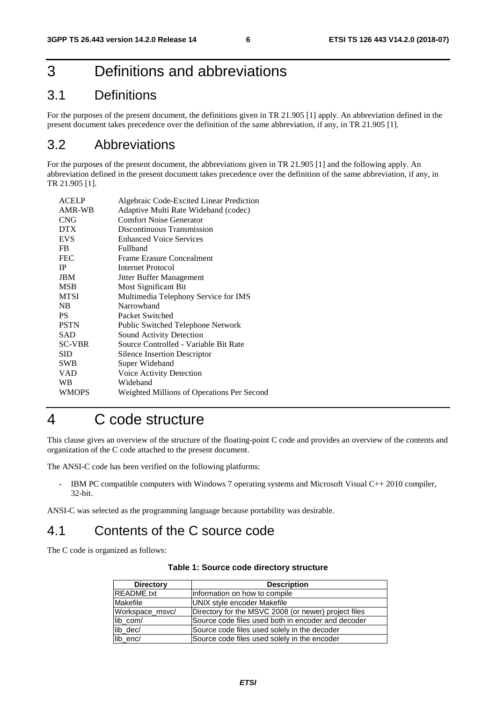# 3 Definitions and abbreviations

### 3.1 Definitions

For the purposes of the present document, the definitions given in TR 21.905 [1] apply. An abbreviation defined in the present document takes precedence over the definition of the same abbreviation, if any, in TR 21.905 [1].

#### 3.2 Abbreviations

For the purposes of the present document, the abbreviations given in TR 21.905 [1] and the following apply. An abbreviation defined in the present document takes precedence over the definition of the same abbreviation, if any, in TR 21.905 [1].

| <b>ACELP</b>  | Algebraic Code-Excited Linear Prediction   |
|---------------|--------------------------------------------|
| AMR-WB        | Adaptive Multi Rate Wideband (codec)       |
| <b>CNG</b>    | <b>Comfort Noise Generator</b>             |
| <b>DTX</b>    | Discontinuous Transmission                 |
| <b>EVS</b>    | <b>Enhanced Voice Services</b>             |
| <b>FB</b>     | Fullband                                   |
| <b>FEC</b>    | <b>Frame Erasure Concealment</b>           |
| <b>IP</b>     | Internet Protocol                          |
| <b>JBM</b>    | Jitter Buffer Management                   |
| <b>MSB</b>    | Most Significant Bit                       |
| <b>MTSI</b>   | Multimedia Telephony Service for IMS       |
| NB            | Narrowhand                                 |
| <b>PS</b>     | Packet Switched                            |
| <b>PSTN</b>   | Public Switched Telephone Network          |
| SAD           | Sound Activity Detection                   |
| <b>SC-VBR</b> | Source Controlled - Variable Bit Rate      |
| SID           | Silence Insertion Descriptor               |
| <b>SWB</b>    | Super Wideband                             |
| <b>VAD</b>    | Voice Activity Detection                   |
| WB            | Wideband                                   |
| <b>WMOPS</b>  | Weighted Millions of Operations Per Second |
|               |                                            |

# 4 C code structure

This clause gives an overview of the structure of the floating-point C code and provides an overview of the contents and organization of the C code attached to the present document.

The ANSI-C code has been verified on the following platforms:

IBM PC compatible computers with Windows 7 operating systems and Microsoft Visual C++ 2010 compiler, 32-bit.

ANSI-C was selected as the programming language because portability was desirable.

# 4.1 Contents of the C source code

The C code is organized as follows:

| <b>Directory</b>  | <b>Description</b>                                   |
|-------------------|------------------------------------------------------|
| <b>README.txt</b> | linformation on how to compile                       |
| Makefile          | UNIX style encoder Makefile                          |
| Workspace_msvc/   | Directory for the MSVC 2008 (or newer) project files |
| lib com/          | Source code files used both in encoder and decoder   |
| lib dec/          | Source code files used solely in the decoder         |
| lib enc/          | Source code files used solely in the encoder         |

| Table 1: Source code directory structure |
|------------------------------------------|
|------------------------------------------|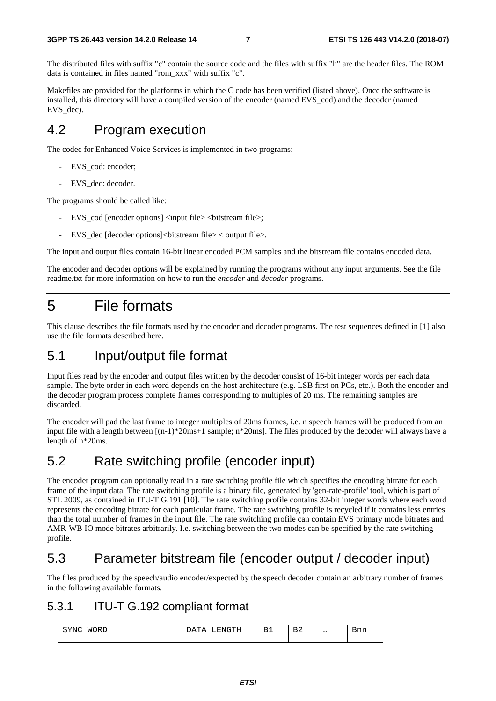The distributed files with suffix "c" contain the source code and the files with suffix "h" are the header files. The ROM data is contained in files named "rom\_xxx" with suffix "c".

Makefiles are provided for the platforms in which the C code has been verified (listed above). Once the software is installed, this directory will have a compiled version of the encoder (named EVS\_cod) and the decoder (named EVS\_dec).

### 4.2 Program execution

The codec for Enhanced Voice Services is implemented in two programs:

- EVS\_cod: encoder;
- EVS\_dec: decoder.

The programs should be called like:

- EVS\_cod [encoder options] <input file> <br/>bitstream file>;
- EVS dec  $[decode$  contions $]**bitstream** file> $>$  count file $>$ .$

The input and output files contain 16-bit linear encoded PCM samples and the bitstream file contains encoded data.

The encoder and decoder options will be explained by running the programs without any input arguments. See the file readme.txt for more information on how to run the *encoder* and *decoder* programs.

# 5 File formats

This clause describes the file formats used by the encoder and decoder programs. The test sequences defined in [1] also use the file formats described here.

#### 5.1 Input/output file format

Input files read by the encoder and output files written by the decoder consist of 16-bit integer words per each data sample. The byte order in each word depends on the host architecture (e.g. LSB first on PCs, etc.). Both the encoder and the decoder program process complete frames corresponding to multiples of 20 ms. The remaining samples are discarded.

The encoder will pad the last frame to integer multiples of 20ms frames, i.e. n speech frames will be produced from an input file with a length between [(n-1)\*20ms+1 sample; n\*20ms]. The files produced by the decoder will always have a length of n\*20ms.

### 5.2 Rate switching profile (encoder input)

The encoder program can optionally read in a rate switching profile file which specifies the encoding bitrate for each frame of the input data. The rate switching profile is a binary file, generated by 'gen-rate-profile' tool, which is part of STL 2009, as contained in ITU-T G.191 [10]. The rate switching profile contains 32-bit integer words where each word represents the encoding bitrate for each particular frame. The rate switching profile is recycled if it contains less entries than the total number of frames in the input file. The rate switching profile can contain EVS primary mode bitrates and AMR-WB IO mode bitrates arbitrarily. I.e. switching between the two modes can be specified by the rate switching profile.

### 5.3 Parameter bitstream file (encoder output / decoder input)

The files produced by the speech/audio encoder/expected by the speech decoder contain an arbitrary number of frames in the following available formats.

#### 5.3.1 ITU-T G.192 compliant format

| <b>MORT</b><br>YNC<br>◡▴◟ | ∵nu ≟<br>$\overline{1}$<br>---- | . .<br>__ | $\overline{\phantom{0}}$<br>. .<br>-<br>↵ | $\cdots$ | <b>PIIII</b> |
|---------------------------|---------------------------------|-----------|-------------------------------------------|----------|--------------|
|                           |                                 |           |                                           |          |              |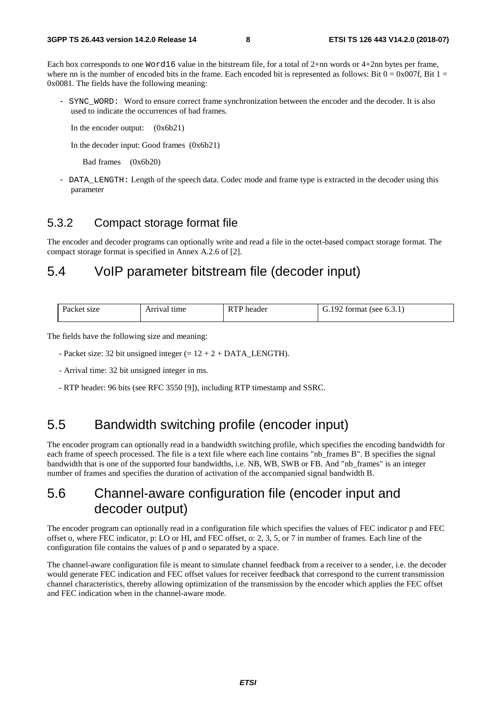Each box corresponds to one Word16 value in the bitstream file, for a total of 2+nn words or 4+2nn bytes per frame, where nn is the number of encoded bits in the frame. Each encoded bit is represented as follows: Bit  $0 = 0x007f$ , Bit  $1 =$ 0x0081. The fields have the following meaning:

- SYNC WORD: Word to ensure correct frame synchronization between the encoder and the decoder. It is also used to indicate the occurrences of bad frames.

In the encoder output: (0x6b21)

In the decoder input: Good frames (0x6b21)

Bad frames (0x6b20)

- DATA LENGTH: Length of the speech data. Codec mode and frame type is extracted in the decoder using this parameter

#### 5.3.2 Compact storage format file

The encoder and decoder programs can optionally write and read a file in the octet-based compact storage format. The compact storage format is specified in Annex A.2.6 of [2].

### 5.4 VoIP parameter bitstream file (decoder input)

| Packet size | Arrıval tıme<br>$\sim$ $\sim$ $\sim$ $\sim$ | RTP F<br>header<br>. | .192 fr<br>format (see $6.3.1$ ) |  |
|-------------|---------------------------------------------|----------------------|----------------------------------|--|
|             |                                             |                      |                                  |  |

The fields have the following size and meaning:

- Packet size: 32 bit unsigned integer (= 12 + 2 + DATA\_LENGTH).
- Arrival time: 32 bit unsigned integer in ms.
- RTP header: 96 bits (see RFC 3550 [9]), including RTP timestamp and SSRC.

### 5.5 Bandwidth switching profile (encoder input)

The encoder program can optionally read in a bandwidth switching profile, which specifies the encoding bandwidth for each frame of speech processed. The file is a text file where each line contains "nb\_frames B". B specifies the signal bandwidth that is one of the supported four bandwidths, i.e. NB, WB, SWB or FB. And "nb\_frames" is an integer number of frames and specifies the duration of activation of the accompanied signal bandwidth B.

#### 5.6 Channel-aware configuration file (encoder input and decoder output)

The encoder program can optionally read in a configuration file which specifies the values of FEC indicator p and FEC offset o, where FEC indicator, p: LO or HI, and FEC offset, o: 2, 3, 5, or 7 in number of frames. Each line of the configuration file contains the values of p and o separated by a space.

The channel-aware configuration file is meant to simulate channel feedback from a receiver to a sender, i.e. the decoder would generate FEC indication and FEC offset values for receiver feedback that correspond to the current transmission channel characteristics, thereby allowing optimization of the transmission by the encoder which applies the FEC offset and FEC indication when in the channel-aware mode.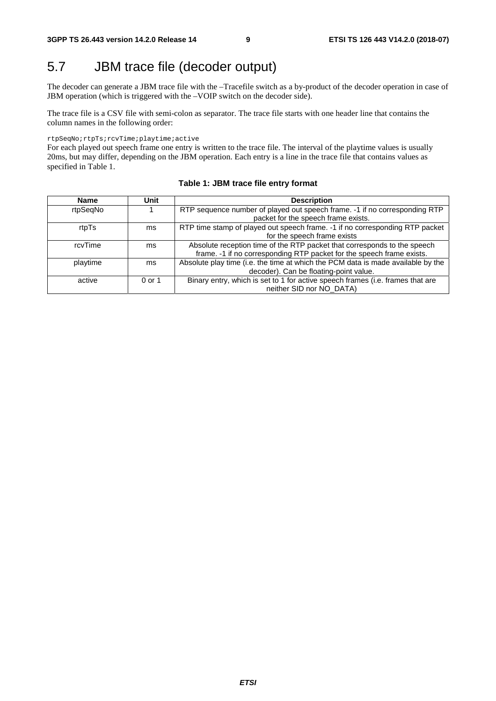# 5.7 JBM trace file (decoder output)

The decoder can generate a JBM trace file with the –Tracefile switch as a by-product of the decoder operation in case of JBM operation (which is triggered with the –VOIP switch on the decoder side).

The trace file is a CSV file with semi-colon as separator. The trace file starts with one header line that contains the column names in the following order:

rtpSeqNo;rtpTs;rcvTime;playtime;active

For each played out speech frame one entry is written to the trace file. The interval of the playtime values is usually 20ms, but may differ, depending on the JBM operation. Each entry is a line in the trace file that contains values as specified in Table 1.

| <b>Name</b> | Unit     | <b>Description</b>                                                               |
|-------------|----------|----------------------------------------------------------------------------------|
| rtpSeqNo    |          | RTP sequence number of played out speech frame. -1 if no corresponding RTP       |
|             |          | packet for the speech frame exists.                                              |
| rtpTs       | ms       | RTP time stamp of played out speech frame. -1 if no corresponding RTP packet     |
|             |          | for the speech frame exists                                                      |
| rcvTime     | ms       | Absolute reception time of the RTP packet that corresponds to the speech         |
|             |          | frame. -1 if no corresponding RTP packet for the speech frame exists.            |
| playtime    | ms       | Absolute play time (i.e. the time at which the PCM data is made available by the |
|             |          | decoder). Can be floating-point value.                                           |
| active      | $0$ or 1 | Binary entry, which is set to 1 for active speech frames (i.e. frames that are   |
|             |          | neither SID nor NO_DATA)                                                         |

#### **Table 1: JBM trace file entry format**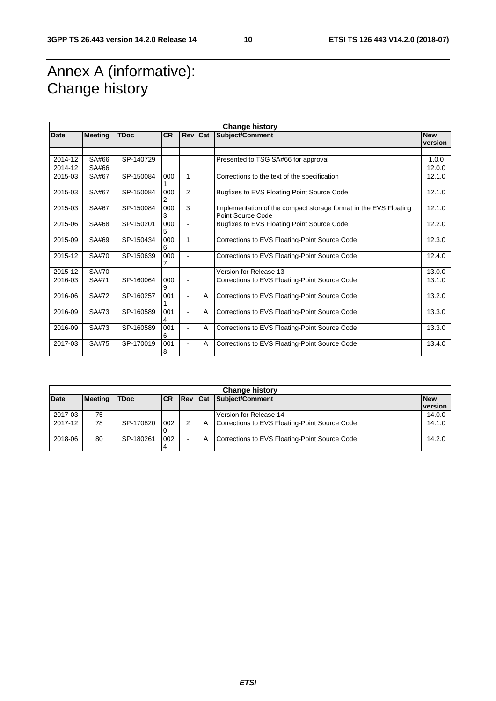# Annex A (informative): Change history

| <b>Change history</b> |                |             |           |                |            |                                                                                       |                       |  |
|-----------------------|----------------|-------------|-----------|----------------|------------|---------------------------------------------------------------------------------------|-----------------------|--|
| <b>Date</b>           | <b>Meeting</b> | <b>TDoc</b> | <b>CR</b> | <b>Rev</b>     | <b>Cat</b> | Subject/Comment                                                                       | <b>New</b><br>version |  |
|                       |                |             |           |                |            |                                                                                       |                       |  |
| 2014-12               | SA#66          | SP-140729   |           |                |            | Presented to TSG SA#66 for approval                                                   | 1.0.0                 |  |
| 2014-12               | SA#66          |             |           |                |            |                                                                                       | 12.0.0                |  |
| 2015-03               | SA#67          | SP-150084   | 000       | 1              |            | Corrections to the text of the specification                                          | 12.1.0                |  |
| 2015-03               | SA#67          | SP-150084   | 000<br>2  | $\overline{2}$ |            | Bugfixes to EVS Floating Point Source Code                                            | 12.1.0                |  |
| 2015-03               | SA#67          | SP-150084   | 000<br>3  | 3              |            | Implementation of the compact storage format in the EVS Floating<br>Point Source Code | 12.1.0                |  |
| 2015-06               | SA#68          | SP-150201   | 000<br>5  | $\blacksquare$ |            | Bugfixes to EVS Floating Point Source Code                                            | 12.2.0                |  |
| 2015-09               | SA#69          | SP-150434   | 000<br>6  | 1              |            | Corrections to EVS Floating-Point Source Code                                         | 12.3.0                |  |
| 2015-12               | SA#70          | SP-150639   | 000       | ٠              |            | Corrections to EVS Floating-Point Source Code                                         | 12.4.0                |  |
| 2015-12               | SA#70          |             |           |                |            | Version for Release 13                                                                | 13.0.0                |  |
| 2016-03               | SA#71          | SP-160064   | 000<br>9  | ۰              |            | Corrections to EVS Floating-Point Source Code                                         | 13.1.0                |  |
| 2016-06               | SA#72          | SP-160257   | 001       | $\overline{a}$ | A          | Corrections to EVS Floating-Point Source Code                                         | 13.2.0                |  |
| 2016-09               | SA#73          | SP-160589   | 001<br>4  | ٠              | A          | Corrections to EVS Floating-Point Source Code                                         | 13.3.0                |  |
| 2016-09               | SA#73          | SP-160589   | 001<br>6  | $\blacksquare$ | A          | Corrections to EVS Floating-Point Source Code                                         | 13.3.0                |  |
| 2017-03               | SA#75          | SP-170019   | 001<br>8  |                | A          | Corrections to EVS Floating-Point Source Code                                         | 13.4.0                |  |

| <b>Change history</b> |                |             |            |                |   |                                               |                       |  |
|-----------------------|----------------|-------------|------------|----------------|---|-----------------------------------------------|-----------------------|--|
| <b>Date</b>           | <b>Meeting</b> | <b>TDoc</b> | <b>ICR</b> | <b>Rev Cat</b> |   | Subject/Comment                               | <b>New</b><br>version |  |
|                       |                |             |            |                |   |                                               |                       |  |
| 2017-03               | 75             |             |            |                |   | Version for Release 14                        | 14.0.0                |  |
| 2017-12               | 78             | SP-170820   | 002        | 2              | A | Corrections to EVS Floating-Point Source Code | 14.1.0                |  |
| 2018-06               | 80             | SP-180261   | 002<br>4   | -              | A | Corrections to EVS Floating-Point Source Code | 14.2.0                |  |